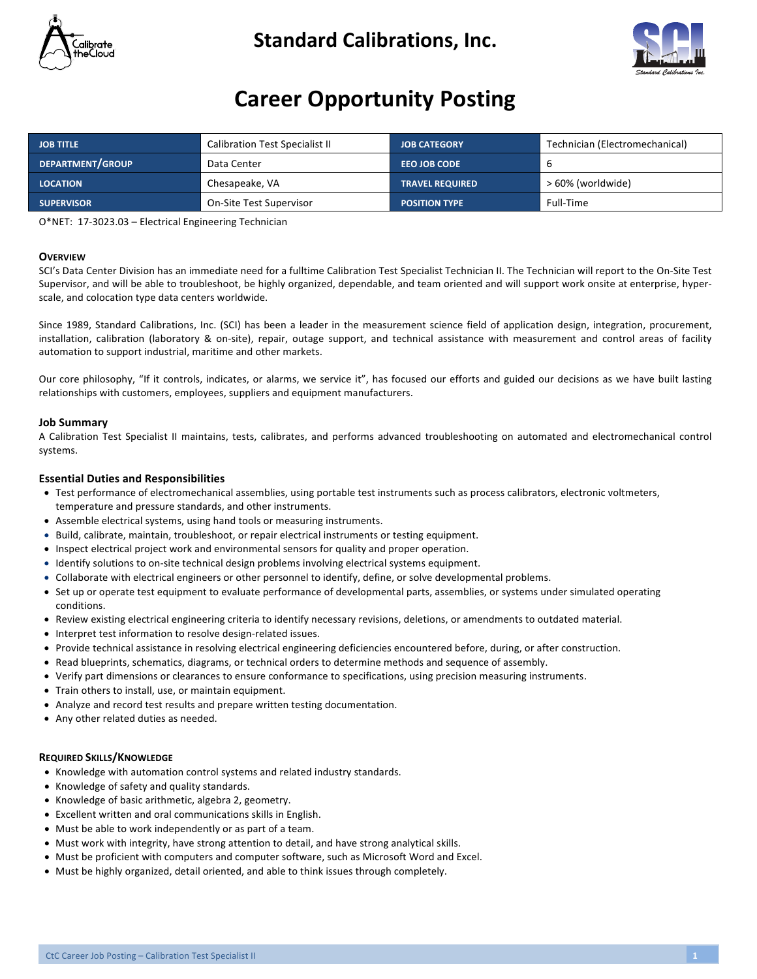

### **Standard Calibrations, Inc.**



## **Career Opportunity Posting**

| <b>JOB TITLE</b>  | <b>Calibration Test Specialist II</b> | <b>JOB CATEGORY</b>    | Technician (Electromechanical) |
|-------------------|---------------------------------------|------------------------|--------------------------------|
| DEPARTMENT/GROUP  | Data Center                           | <b>EEO JOB CODE</b>    | -6                             |
| <b>LOCATION</b>   | Chesapeake, VA                        | <b>TRAVEL REQUIRED</b> | > 60% (worldwide)              |
| <b>SUPERVISOR</b> | On-Site Test Supervisor               | <b>POSITION TYPE</b>   | Full-Time                      |

O\*NET: 17-3023.03 - Electrical Engineering Technician

### **OVERVIEW**

SCI's Data Center Division has an immediate need for a fulltime Calibration Test Specialist Technician II. The Technician will report to the On-Site Test Supervisor, and will be able to troubleshoot, be highly organized, dependable, and team oriented and will support work onsite at enterprise, hyperscale, and colocation type data centers worldwide.

Since 1989, Standard Calibrations, Inc. (SCI) has been a leader in the measurement science field of application design, integration, procurement, installation, calibration (laboratory & on-site), repair, outage support, and technical assistance with measurement and control areas of facility automation to support industrial, maritime and other markets.

Our core philosophy, "If it controls, indicates, or alarms, we service it", has focused our efforts and guided our decisions as we have built lasting relationships with customers, employees, suppliers and equipment manufacturers.

### **Job Summary**

A Calibration Test Specialist II maintains, tests, calibrates, and performs advanced troubleshooting on automated and electromechanical control systems.

### **Essential Duties and Responsibilities**

- Test performance of electromechanical assemblies, using portable test instruments such as process calibrators, electronic voltmeters, temperature and pressure standards, and other instruments.
- Assemble electrical systems, using hand tools or measuring instruments.
- Build, calibrate, maintain, troubleshoot, or repair electrical instruments or testing equipment.
- Inspect electrical project work and environmental sensors for quality and proper operation.
- Identify solutions to on-site technical design problems involving electrical systems equipment.
- Collaborate with electrical engineers or other personnel to identify, define, or solve developmental problems.
- Set up or operate test equipment to evaluate performance of developmental parts, assemblies, or systems under simulated operating conditions.
- Review existing electrical engineering criteria to identify necessary revisions, deletions, or amendments to outdated material.
- Interpret test information to resolve design-related issues.
- Provide technical assistance in resolving electrical engineering deficiencies encountered before, during, or after construction.
- Read blueprints, schematics, diagrams, or technical orders to determine methods and sequence of assembly.
- Verify part dimensions or clearances to ensure conformance to specifications, using precision measuring instruments.
- Train others to install, use, or maintain equipment.
- Analyze and record test results and prepare written testing documentation.
- Any other related duties as needed.

### **REQUIRED SKILLS/KNOWLEDGE**

- Knowledge with automation control systems and related industry standards.
- Knowledge of safety and quality standards.
- Knowledge of basic arithmetic, algebra 2, geometry.
- Excellent written and oral communications skills in English.
- Must be able to work independently or as part of a team.
- Must work with integrity, have strong attention to detail, and have strong analytical skills.
- Must be proficient with computers and computer software, such as Microsoft Word and Excel.
- Must be highly organized, detail oriented, and able to think issues through completely.